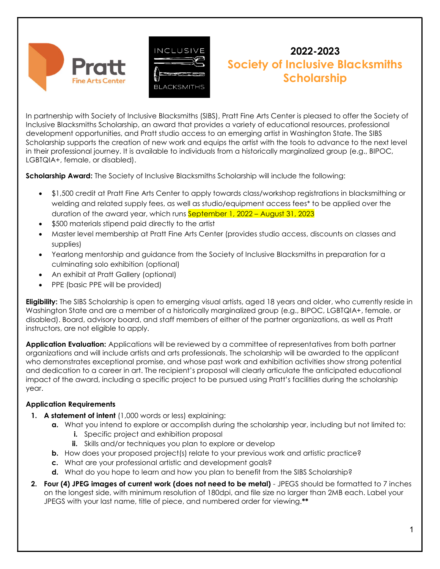



# 2022-2023 Society of Inclusive Blacksmiths **Scholarship**

In partnership with Society of Inclusive Blacksmiths (SIBS), Pratt Fine Arts Center is pleased to offer the Society of Inclusive Blacksmiths Scholarship, an award that provides a variety of educational resources, professional development opportunities, and Pratt studio access to an emerging artist in Washington State. The SIBS Scholarship supports the creation of new work and equips the artist with the tools to advance to the next level in their professional journey. It is available to individuals from a historically marginalized group (e.g., BIPOC, LGBTQIA+, female, or disabled).

Scholarship Award: The Society of Inclusive Blacksmiths Scholarship will include the following:

- \$1,500 credit at Pratt Fine Arts Center to apply towards class/workshop registrations in blacksmithing or welding and related supply fees, as well as studio/equipment access fees\* to be applied over the duration of the award year, which runs September 1, 2022 – August 31, 2023
- \$500 materials stipend paid directly to the artist
- Master level membership at Pratt Fine Arts Center (provides studio access, discounts on classes and supplies)
- Yearlong mentorship and guidance from the Society of Inclusive Blacksmiths in preparation for a culminating solo exhibition (optional)
- An exhibit at Pratt Gallery (optional)
- PPE (basic PPE will be provided)

**Eligibility:** The SIBS Scholarship is open to emerging visual artists, aged 18 years and older, who currently reside in Washington State and are a member of a historically marginalized group (e.g., BIPOC, LGBTQIA+, female, or disabled). Board, advisory board, and staff members of either of the partner organizations, as well as Pratt instructors, are not eligible to apply.

Application Evaluation: Applications will be reviewed by a committee of representatives from both partner organizations and will include artists and arts professionals. The scholarship will be awarded to the applicant who demonstrates exceptional promise, and whose past work and exhibition activities show strong potential and dedication to a career in art. The recipient's proposal will clearly articulate the anticipated educational impact of the award, including a specific project to be pursued using Pratt's facilities during the scholarship year.

## Application Requirements

- 1. A statement of intent (1,000 words or less) explaining:
	- a. What you intend to explore or accomplish during the scholarship year, including but not limited to:
		- **i.** Specific project and exhibition proposal
		- ii. Skills and/or techniques you plan to explore or develop
	- b. How does your proposed project(s) relate to your previous work and artistic practice?
	- c. What are your professional artistic and development goals?
	- d. What do you hope to learn and how you plan to benefit from the SIBS Scholarship?
- 2. Four (4) JPEG images of current work (does not need to be metal) JPEGS should be formatted to 7 inches on the longest side, with minimum resolution of 180dpi, and file size no larger than 2MB each. Label your JPEGS with your last name, title of piece, and numbered order for viewing.\*\*